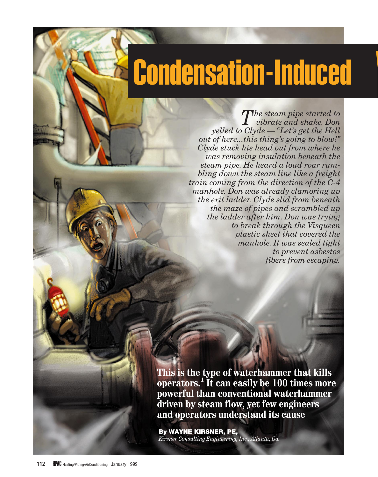## **Condensation-Induced**

*The steam pipe started to vibrate and shake. Don yelled to Clyde — "Let's get the Hell out of here...this thing's going to blow!" Clyde stuck his head out from where he was removing insulation beneath the steam pipe. He heard a loud roar rumbling down the steam line like a freight train coming from the direction of the C-4 manhole. Don was already clamoring up the exit ladder. Clyde slid from beneath the maze of pipes and scrambled up the ladder after him. Don was trying to break through the Visqueen plastic sheet that covered the manhole. It was sealed tight to prevent asbestos fibers from escaping.*

**This is the type of waterhammer that kills operators.1 It can easily be 100 times more powerful than conventional waterhammer driven by steam flow, yet few engineers and operators understand its cause**

**By WAYNE KIRSNER, PE,** *Kirsner Consulting Engineering, Inc., Atlanta, Ga.*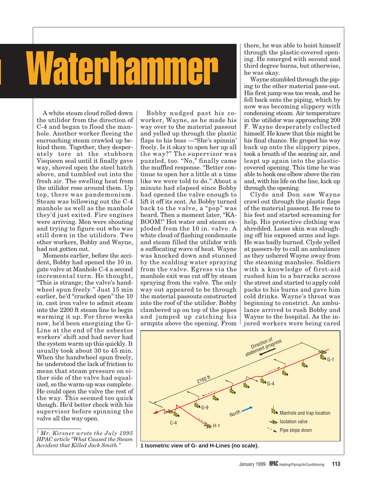# Waterhammer

A white steam cloud rolled down the utilidor from the direction of C-4 and began to flood the manhole. Another worker fleeing the encroaching steam crawled up behind them. Together, they desperately tore at the stubborn Visqueen seal until it finally gave way, shoved open the steel hatch above, and tumbled out into the fresh air. The swelling heat from the utilidor rose around them. Up top, there was pandemonium. Steam was billowing out the C-4 manhole as well as the manhole they'd just exited. Fire engines were arriving. Men were shouting and trying to figure out who was still down in the utilidors. Two other workers, Bobby and Wayne, had not gotten out.

Moments earlier, before the accident, Bobby had opened the 10 in. gate valve at Manhole C-4 a second incremental turn. He thought, "This is strange; the valve's handwheel spun freely." Just 15 min earlier, he'd "cracked open" the 10 in. cast iron valve to admit steam into the 2200 ft steam line to begin warming it up. For three weeks now, he'd been energizing the G-Line at the end of the asbestos workers' shift and had never had the system warm up this quickly. It usually took about 30 to 45 min. When the handwheel spun freely, he understood the lack of friction to mean that steam pressure on either side of the valve had equalized, so the warm-up was complete. He could open the valve the rest of the way. This seemed too quick though. He'd better check with his supervisor before spinning the valve all the way open.

*<sup>1</sup> Mr. Kirsner wrote the July 1995 HPAC article "What Caused the Steam Accident that Killed Jack Smith."*

Bobby nudged past his coworker, Wayne, as he made his way over to the material passout and yelled up through the plastic flaps to his boss —"She's spinnin' freely. Is it okay to open her up all the way?" The supervisor was puzzled, too. "No," finally came the muffled response. "Better continue to open her a little at a time like we were told to do." About a minute had elapsed since Bobby had opened the valve enough to lift it off its seat. As Bobby turned back to the valve, a "pop" was heard. Then a moment later, "KA-BOOM!" Hot water and steam exploded from the 10 in. valve. A white cloud of flashing condensate and steam filled the utilidor with a suffocating wave of heat. Wayne was knocked down and stunned by the scalding water spraying from the valve. Egress via the manhole exit was cut off by steam spraying from the valve. The only way out appeared to be through the material passouts constructed into the roof of the utilidor. Bobby clambered up on top of the pipes and jumped up catching his armpits above the opening. From

there, he was able to hoist himself through the plastic-covered opening. He emerged with second and third degree burns, but otherwise, he was okay.

Wayne stumbled through the piping to the other material pass-out. His first jump was too weak, and he fell back onto the piping, which by now was becoming slippery with condensing steam. Air temperature in the utilidor was approaching 200 F. Wayne desperately collected himself. He knew that this might be his final chance. He groped his way back up onto the slippery pipes, took a breath of the searing air, and leapt up again into the plasticcovered opening. This time he was able to hook one elbow above the rim and, with his life on the line, kick up through the opening.

Clyde and Don saw Wayne crawl out through the plastic flaps of the material passout. He rose to his feet and started screaming for help. His protective clothing was shredded. Loose skin was sloughing off his exposed arms and legs. He was badly burned. Clyde yelled at passers-by to call an ambulance as they ushered Wayne away from the steaming manholes. Soldiers with a knowledge of first-aid rushed him to a barracks across the street and started to apply cold packs to his burns and gave him cold drinks. Wayne's throat was beginning to constrict. An ambulance arrived to rush Bobby and Wayne to the hospital. As the injured workers were being cared



**1 Isometric view of G- and H-Lines (no scale).**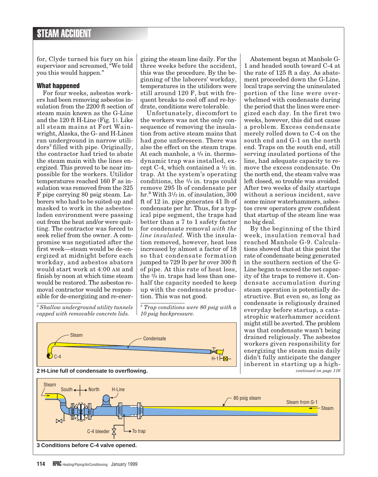for, Clyde turned his fury on his supervisor and screamed, "We told you this would happen."

#### **What happened**

For four weeks, asbestos workers had been removing asbestos insulation from the 2200 ft section of steam main known as the G-Line and the 120 ft H-Line (Fig. 1). Like all steam mains at Fort Wainwright, Alaska, the G- and H-Lines ran underground in narrow utilidors<sup>2</sup> filled with pipe. Originally, the contractor had tried to abate the steam main with the lines energized. This proved to be near impossible for the workers. Utilidor temperatures reached 160 F as insulation was removed from the 325 F pipe carrying 80 psig steam. Laborers who had to be suited-up and masked to work in the asbestosladen environment were passing out from the heat and/or were quitting. The contractor was forced to seek relief from the owner. A compromise was negotiated after the first week—steam would be de-energized at midnight before each workday, and asbestos abators would start work at 4:00 AM and finish by noon at which time steam would be restored. The asbestos removal contractor would be responsible for de-energizing and re-ener-

*<sup>2</sup> Shallow underground utility tunnels capped with removable concrete lids.*

gizing the steam line daily. For the three weeks before the accident, this was the procedure. By the beginning of the laborers' workday, temperatures in the utilidors were still around 120 F, but with frequent breaks to cool off and re-hydrate, conditions were tolerable.

Unfortunately, discomfort to the workers was not the only consequence of removing the insulation from active steam mains that had gone unforeseen. There was also the effect on the steam traps. At each manhole, a 3/8 in. thermodynamic trap was installed, except C-4, which contained a  $\frac{1}{2}$  in. trap. At the system's operating conditions, the 3/8 in. traps could remove 295 lb of condensate per hr.**<sup>3</sup>** With 31/2 in. of insulation, 300 ft of 12 in. pipe generates 41 lb of condensate per hr. Thus, for a typical pipe segment, the traps had better than a 7 to 1 safety factor for condensate removal *with the line insulated.* With the insulation removed, however, heat loss increased by almost a factor of 18 so that condensate formation jumped to 729 lb per hr over 300 ft of pipe. At this rate of heat loss, the 3/8 in. traps had less than onehalf the capacity needed to keep up with the condensate production. This was not good.

*<sup>3</sup> Trap conditions were 80 psig with a 10 psig backpressure.*



Abatement began at Manhole G-1 and headed south toward C-4 at the rate of 125 ft a day. As abatement proceeded down the G-Line, local traps serving the uninsulated portion of the line were overwhelmed with condensate during the period that the lines were energized each day. In the first two weeks, however, this did not cause a problem. Excess condensate merely rolled down to C-4 on the south end and G-1 on the north end. Traps on the south end, still serving insulated portions of the line, had adequate capacity to remove the excess condensate. On the north end, the steam valve was left closed, so trouble was avoided. After two weeks of daily startups without a serious incident, save some minor waterhammers, asbestos crew operators grew confident that startup of the steam line was no big deal.

By the beginning of the third week, insulation removal had reached Manhole G-9. Calculations showed that at this point the rate of condensate being generated in the southern section of the G-Line began to exceed the net capacity of the traps to remove it. Condensate accumulation during steam operation is potentially destructive. But even so, as long as condensate is religiously drained everyday before startup, a catastrophic waterhammer accident might still be averted. The problem was that condensate wasn't being drained religiously. The asbestos workers given responsibility for energizing the steam main daily didn't fully anticipate the danger inherent in starting up a high*continued on page 116*

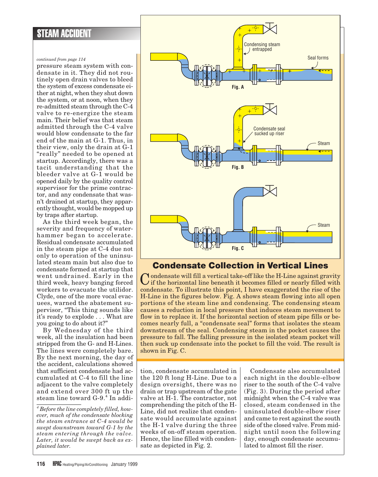#### *continued from page 114*

pressure steam system with condensate in it. They did not routinely open drain valves to bleed the system of excess condensate either at night, when they shut down the system, or at noon, when they re-admitted steam through the C-4 valve to re-energize the steam main. Their belief was that steam admitted through the C-4 valve would blow condensate to the far end of the main at G-1. Thus, in their view, only the drain at G-1 "really" needed to be opened at startup. Accordingly, there was a tacit understanding that the bleeder valve at G-1 would be opened daily by the quality control supervisor for the prime contractor, and any condensate that wasn't drained at startup, they apparently thought, would be mopped up by traps after startup.

As the third week began, the severity and frequency of waterhammer began to accelerate. Residual condensate accumulated in the steam pipe at C-4 due not only to operation of the uninsulated steam main but also due to condensate formed at startup that went undrained. Early in the third week, heavy banging forced workers to evacuate the utilidor. Clyde, one of the more vocal evacuees, warned the abatement supervisor, "This thing sounds like it's ready to explode . . . What are you going to do about it?"

By Wednesday of the third week, all the insulation had been stripped from the G- and H-Lines. The lines were completely bare. By the next morning, the day of the accident, calculations showed that sufficient condensate had accumulated at C-4 to fill the line adjacent to the valve completely and extend over 300 ft up the steam line toward G-9.<sup>4</sup> In addi-



## **Condensate Collection in Vertical Lines**

Condensate will fill a vertical take-off like the H-Line against gravity if the horizontal line beneath it becomes filled or nearly filled with condensate. To illustrate this point, I have exaggerated the rise of the H-Line in the figures below. Fig. A shows steam flowing into all open portions of the steam line and condensing. The condensing steam causes a reduction in local pressure that induces steam movement to flow in to replace it. If the horizontal section of steam pipe fills or becomes nearly full, a "condensate seal" forms that isolates the steam downstream of the seal. Condensing steam in the pocket causes the pressure to fall. The falling pressure in the isolated steam pocket will then suck up condensate into the pocket to fill the void. The result is shown in Fig. C.

tion, condensate accumulated in the 120 ft long H-Line. Due to a design oversight, there was no drain or trap upstream of the gate valve at H-1. The contractor, not comprehending the pitch of the H-Line, did not realize that condensate would accumulate against the H-1 valve during the three weeks of on-off steam operation. Hence, the line filled with condensate as depicted in Fig. 2.

Condensate also accumulated each night in the double-elbow riser to the south of the C-4 valve (Fig. 3). During the period after midnight when the C-4 valve was closed, steam condensed in the uninsulated double-elbow riser and came to rest against the south side of the closed valve. From midnight until noon the following day, enough condensate accumulated to almost fill the riser.

*<sup>4</sup> Before the line completely filled, however, much of the condensate blocking the steam entrance at C-4 would be swept downstream toward G-1 by the steam entering through the valve. Later, it would be swept back as explained later.*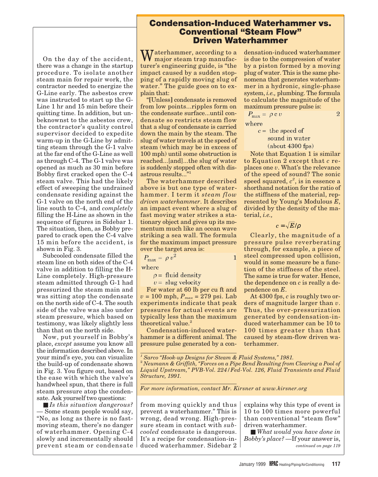### **Condensation-Induced Waterhammer vs. Conventional "Steam Flow" Driven Waterhammer**

On the day of the accident, there was a change in the startup procedure. To isolate another steam main for repair work, the contractor needed to energize the G-Line early. The asbestos crew was instructed to start up the G-Line 1 hr and 15 min before their quitting time. In addition, but unbeknownst to the asbestos crew, the contractor's quality control supervisor decided to expedite warm-up in the G-Line by admitting steam through the G-1 valve at the far end of the G-Line as well as through C-4. The G-1 valve was opened as much as 30 min before Bobby first cracked open the C-4 steam valve. This had the likely effect of sweeping the undrained condensate residing against the G-1 valve on the north end of the line south to C-4, and *completely* filling the H-Line as shown in the sequence of figures in Sidebar 1. The situation, then, as Bobby prepared to crack open the C-4 valve 15 min before the accident, is shown in Fig. 3.

Subcooled condensate filled the steam line on both sides of the C-4 valve in addition to filling the H-Line completely. High-pressure steam admitted through G-1 had pressurized the steam main and was sitting atop the condensate on the north side of C-4. The south side of the valve was also under steam pressure, which based on testimony, was likely slightly less than that on the north side.

Now, put yourself in Bobby's place, *except* assume you know all the information described above. In your mind's eye, you can visualize the build-up of condensate shown in Fig. 3. You figure out, based on the ease with which the valve's handwheel spun, that there is full steam pressure atop the condensate. Ask yourself two questions:

■ *Is this situation dangerous?* — Some steam people would say, "No, as long as there is no fastmoving steam, there's no danger of waterhammer. Opening C-4 slowly and incrementally should prevent steam or condensate

Waterhammer, according to a major steam trap manufacturer's engineering guide, is "the impact caused by a sudden stopping of a rapidly moving slug of water." The guide goes on to explain that:

"**[**Unless**]** condensate is removed from low points...ripples form on the condensate surface...until condensate so restricts steam flow that a slug of condensate is carried down the main by the steam. The slug of water travels at the speed of steam (which may be in excess of 100 mph) until some obstruction is reached...[and]...the slug of water is suddenly stopped often with disastrous results..."<sup>1</sup>

The waterhammer described above is but one type of waterhammer. I term it *steam flow driven waterhammer*. It describes an impact event where a slug of fast moving water strikes a stationary object and gives up its momentum much like an ocean wave striking a sea wall. The formula for the maximum impact pressure over the target area is:

 $P_{\text{max}} = \rho v^2$  $\mathbf{1}$ 

where

 $\rho$  = fluid density

 $v =$  slug velocity

For water at 60 lb per cu ft and  $v = 100$  mph,  $P_{max} = 279$  psi. Lab experiments indicate that peak pressures for actual events are typically less than the maximum theoretical value.<sup>2</sup>

Condensation-induced waterhammer is a different animal. The pressure pulse generated by a con-

densation-induced waterhammer is due to the compression of water by a piston formed by a moving plug of water. This is the same phenomena that generates waterhammer in a hydronic, single-phase system, *i.e.,* plumbing. The formula to calculate the magnitude of the maximum pressure pulse is:

$$
P_{\text{max}} = \rho \, \mathbf{c} \, v \tag{2}
$$

where

 $c =$  the speed of sound in water  $(about 4300 fps)$ 

Note that Equation 1 is similar to Equation 2 except that *c* replaces one *v*. What's the relevance of the speed of sound? The sonic speed squared,  $c^2$ , is in essence a shorthand notation for the ratio of the stiffness of the material, represented by Young's Modulous *E*, divided by the density of the material, *i.e.,*

 $c = \sqrt{E/\rho}$ 

Clearly, the magnitude of a pressure pulse reverberating through, for example, a piece of steel compressed upon collision, would in some measure be a function of the stiffness of the steel. The same is true for water. Hence, the dependence on *c* is really a dependence on *E*.

At 4300 fps, *c* is roughly two orders of magnitude larger than *v*. Thus, the over-pressurization generated by condensation-induced waterhammer can be 10 to 100 times greater than that caused by steam-flow driven waterhammer.

*<sup>1</sup> Sarco "Hook-up Designs for Steam & Fluid Systems," 1981.* <sup>2</sup> *Neumann & Griffith, "Forces on a Pipe Bend Resulting from Clearing a Pool of Liquid Upstream," PVB-Vol. 224/Fed-Vol. 126, Fluid Transients and Fluid Structure, 1991.*

*For more information, contact Mr. Kirsner at www.kirsner.org*

from moving quickly and thus prevent a waterhammer." This is wrong, dead wrong. High-pressure steam in contact with *subcooled* condensate is dangerous. It's a recipe for condensation-induced waterhammer. Sidebar 2

explains why this type of event is 10 to 100 times more powerful than conventional "steam flow" driven waterhammer.

■ *What would you have done in Bobby's place?* —If your answer is, *continued on page 119*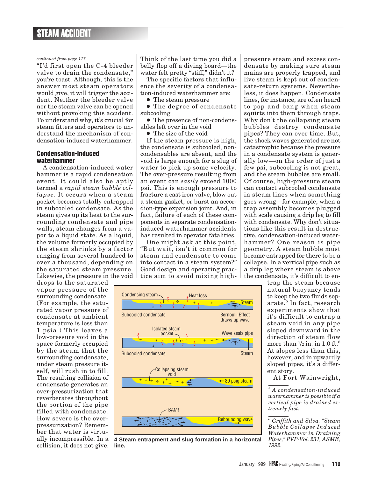#### *continued from page 117*

"I'd first open the C-4 bleeder valve to drain the condensate," you're toast. Although, this is the answer most steam operators would give, it will trigger the accident. Neither the bleeder valve nor the steam valve can be opened without provoking this accident. To understand why, it's crucial for steam fitters and operators to understand the mechanism of condensation-induced waterhammer.

#### **Condensation-induced waterhammer**

A condensation-induced water hammer is a rapid condensation event. It could also be aptly termed a *rapid steam bubble collapse*. It occurs when a steam pocket becomes totally entrapped in subcooled condensate. As the steam gives up its heat to the surrounding condensate and pipe walls, steam changes from a vapor to a liquid state. As a liquid, the volume formerly occupied by the steam shrinks by a factor ranging from several hundred to over a thousand, depending on the saturated steam pressure. Likewise, the pressure in the void

drops to the saturated vapor pressure of the surrounding condensate. (For example, the saturated vapor pressure of condensate at ambient temperature is less than 1 psia.) This leaves a low-pressure void in the space formerly occupied by the steam that the surrounding condensate, under steam pressure itself, will rush in to fill. The resulting collision of condensate generates an over-pressurization that reverberates throughout the portion of the pipe filled with condensate. How severe is the overpressurization? Remember that water is virtucollision, it does not give. **line.**

Think of the last time you did a belly flop off a diving board—the water felt pretty "stiff," didn't it?

The specific factors that influence the severity of a condensation-induced waterhammer are:

● The steam pressure

● The degree of condensate subcooling

● The presence of non-condensables left over in the void

● The size of the void

If the steam pressure is high, the condensate is subcooled, noncondensables are absent, and the void is large enough for a slug of water to pick up some velocity. The over-pressure resulting from an event can *easily* exceed 1000 psi. This is enough pressure to fracture a cast iron valve, blow out a steam gasket, or burst an accordion-type expansion joint. And, in fact, failure of each of these components in separate condensationinduced waterhammer accidents has resulted in operator fatalities.

One might ask at this point, "But wait, isn't it common for steam and condensate to come into contact in a steam system?" Good design and operating practice aim to avoid mixing high-



ally incompressible. In a **4 Steam entrapment and slug formation in a horizontal**

pressure steam and excess condensate by making sure steam mains are properly **t**rapped, and live steam is kept out of condensate-return systems. Nevertheless, it does happen. Condensate lines, for instance, are often heard to pop and bang when steam squirts into them through traps. Why don't the collapsing steam bubbles destroy condensate pipes? They can over time. But, the shock waves generated are not catastrophic because the pressure in a condensate system is generally low—on the order of just a few psi, subcooling is not great, and the steam bubbles are small. Of course, high-pressure steam can contact subcooled condensate in steam lines when something goes wrong—for example, when a trap assembly becomes plugged with scale causing a drip leg to fill with condensate. Why don't situations like this result in destructive, condensation-induced waterhammer? One reason is pipe geometry. A steam bubble must become entrapped for there to be a collapse. In a vertical pipe such as a drip leg where steam is above the condensate, it's difficult to en-

trap the steam because natural buoyancy tends to keep the two fluids separate.<sup>5</sup> In fact, research experiments show that it's difficult to entrap a steam void in any pipe sloped downward in the direction of steam flow more than  $\frac{1}{2}$  in. in 1.0 ft.<sup>6</sup> At slopes less than this, however, and in upwardly sloped pipes, it's a different story.

At Fort Wainwright,

*<sup>5</sup> A condensation-induced waterhammer is possible if a vertical pipe is drained extremely fast.*

*<sup>6</sup> Griffith and Silva. "Steam Bubble Collapse Induced Waterhammer in Draining Pipes," PVP-Vol. 231, ASME, 1992.*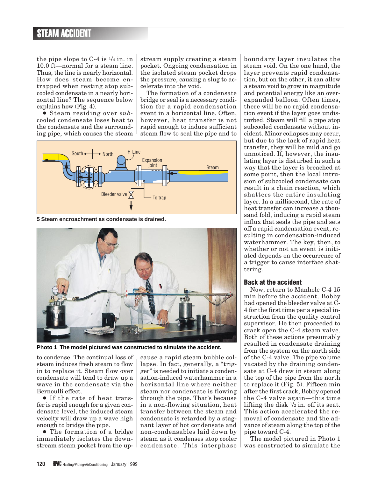the pipe slope to  $C-4$  is  $\frac{1}{4}$  in. in 10.0 ft—normal for a steam line. Thus, the line is nearly horizontal. How does steam become entrapped when resting atop subcooled condensate in a nearly horizontal line? The sequence below explains how (Fig. 4).

● Steam residing over *sub*cooled condensate loses heat to the condensate and the surrounding pipe, which causes the steam

stream supply creating a steam pocket. Ongoing condensation in the isolated steam pocket drops the pressure, causing a slug to accelerate into the void.

The formation of a condensate bridge or seal is a necessary condition for a rapid condensation event in a horizontal line. Often, however, heat transfer is not rapid enough to induce sufficient steam flow to seal the pipe and to



**5 Steam encroachment as condensate is drained.**



**Photo 1 The model pictured was constructed to simulate the accident.**

to condense. The continual loss of steam induces fresh steam to flow in to replace it. Steam flow over condensate will tend to draw up a wave in the condensate via the Bernoulli effect.

● If the rate of heat transfer is rapid enough for a given condensate level, the induced steam velocity will draw up a wave high enough to bridge the pipe.

● The formation of a bridge immediately isolates the downstream steam pocket from the upcause a rapid steam bubble collapse. In fact, generally, a "trigger" is needed to initiate a condensation-induced waterhammer in a horizontal line where neither steam nor condensate is flowing through the pipe. That's because in a non-flowing situation, heat transfer between the steam and condensate is retarded by a stagnant layer of hot condensate and non-condensables laid down by steam as it condenses atop cooler condensate. This interphase

boundary layer insulates the steam void. On the one hand, the layer prevents rapid condensation, but on the other, it can allow a steam void to grow in magnitude and potential energy like an overexpanded balloon. Often times, there will be no rapid condensation event if the layer goes undisturbed. Steam will fill a pipe atop subcooled condensate without incident. Minor collapses may occur, but due to the lack of rapid heat transfer, they will be mild and go unnoticed. If, however, the insulating layer is disturbed in such a way that the layer is breached at some point, then the local intrusion of subcooled condensate can result in a chain reaction, which shatters the entire insulating layer. In a millisecond, the rate of heat transfer can increase a thousand fold, inducing a rapid steam influx that seals the pipe and sets off a rapid condensation event, resulting in condensation-induced waterhammer. The key, then, to whether or not an event is initiated depends on the occurrence of a trigger to cause interface shattering.

#### **Back at the accident**

Now, return to Manhole C-4 15 min before the accident. Bobby had opened the bleeder valve at C-4 for the first time per a special instruction from the quality control supervisor. He then proceeded to crack open the C-4 steam valve. Both of these actions presumably resulted in condensate draining from the system on the north side of the C-4 valve. The pipe volume vacated by the draining condensate at C-4 drew in steam along the top of the pipe from the north to replace it (Fig. 5). Fifteen min after the first crack, Bobby opened the C-4 valve again—this time lifting the disk  $\frac{1}{2}$  in. off its seat. This action accelerated the removal of condensate and the advance of steam along the top of the pipe toward C-4.

The model pictured in Photo 1 was constructed to simulate the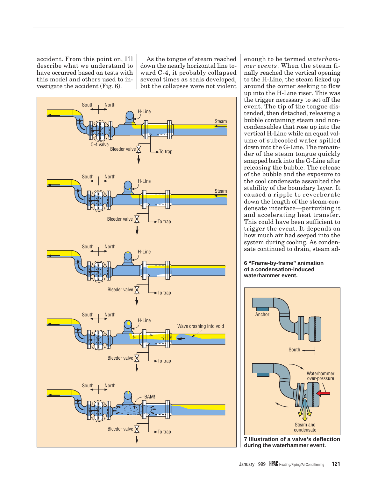accident. From this point on, I'll describe what we understand to have occurred based on tests with this model and others used to investigate the accident (Fig. 6).

As the tongue of steam reached down the nearly horizontal line toward C-4, it probably collapsed several times as seals developed, but the collapses were not violent



enough to be termed *waterhammer events*. When the steam finally reached the vertical opening to the H-Line, the steam licked up around the corner seeking to flow up into the H-Line riser. This was the trigger necessary to set off the event. The tip of the tongue distended, then detached, releasing a bubble containing steam and noncondensables that rose up into the vertical H-Line while an equal volume of subcooled water spilled down into the G-Line. The remainder of the steam tongue quickly snapped back into the G-Line after releasing the bubble. The release of the bubble and the exposure to the cool condensate assaulted the stability of the boundary layer. It caused a ripple to reverberate down the length of the steam-condensate interface—perturbing it and accelerating heat transfer. This could have been sufficient to trigger the event. It depends on how much air had seeped into the system during cooling. As condensate continued to drain, steam ad-

**6 "Frame-by-frame" animation of a condensation-induced waterhammer event.**